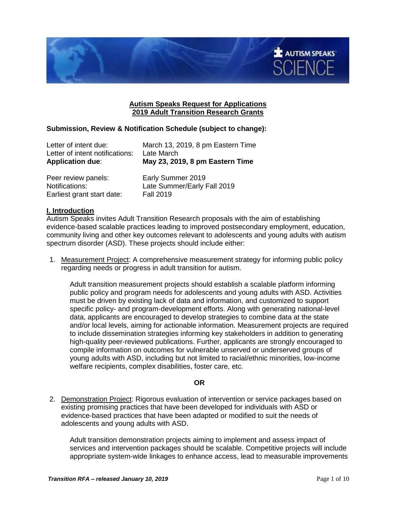

### **Autism Speaks Request for Applications 2019 Adult Transition Research Grants**

### **Submission, Review & Notification Schedule (subject to change):**

| <b>Application due:</b>         | May 23, 2019, 8 pm Eastern Time   |
|---------------------------------|-----------------------------------|
| Letter of intent notifications: | Late March                        |
| Letter of intent due:           | March 13, 2019, 8 pm Eastern Time |

| Peer review panels:        | Early Summer 2019           |
|----------------------------|-----------------------------|
| Notifications:             | Late Summer/Early Fall 2019 |
| Earliest grant start date: | <b>Fall 2019</b>            |

#### **I. Introduction**

Autism Speaks invites Adult Transition Research proposals with the aim of establishing evidence-based scalable practices leading to improved postsecondary employment, education, community living and other key outcomes relevant to adolescents and young adults with autism spectrum disorder (ASD). These projects should include either:

1. Measurement Project: A comprehensive measurement strategy for informing public policy regarding needs or progress in adult transition for autism.

Adult transition measurement projects should establish a scalable platform informing public policy and program needs for adolescents and young adults with ASD. Activities must be driven by existing lack of data and information, and customized to support specific policy- and program-development efforts. Along with generating national-level data, applicants are encouraged to develop strategies to combine data at the state and/or local levels, aiming for actionable information. Measurement projects are required to include dissemination strategies informing key stakeholders in addition to generating high-quality peer-reviewed publications. Further, applicants are strongly encouraged to compile information on outcomes for vulnerable unserved or underserved groups of young adults with ASD, including but not limited to racial/ethnic minorities, low-income welfare recipients, complex disabilities, foster care, etc.

#### **OR**

2. Demonstration Project: Rigorous evaluation of intervention or service packages based on existing promising practices that have been developed for individuals with ASD or evidence-based practices that have been adapted or modified to suit the needs of adolescents and young adults with ASD.

Adult transition demonstration projects aiming to implement and assess impact of services and intervention packages should be scalable. Competitive projects will include appropriate system-wide linkages to enhance access, lead to measurable improvements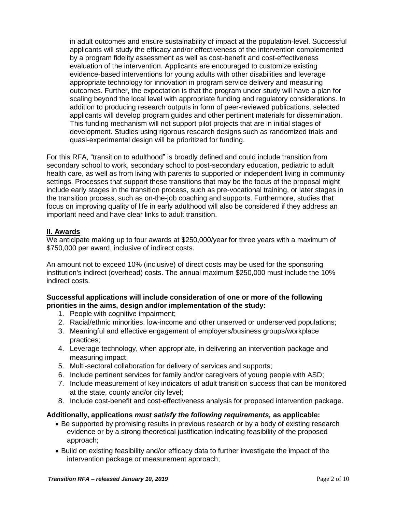in adult outcomes and ensure sustainability of impact at the population-level. Successful applicants will study the efficacy and/or effectiveness of the intervention complemented by a program fidelity assessment as well as cost-benefit and cost-effectiveness evaluation of the intervention. Applicants are encouraged to customize existing evidence-based interventions for young adults with other disabilities and leverage appropriate technology for innovation in program service delivery and measuring outcomes. Further, the expectation is that the program under study will have a plan for scaling beyond the local level with appropriate funding and regulatory considerations. In addition to producing research outputs in form of peer-reviewed publications, selected applicants will develop program guides and other pertinent materials for dissemination. This funding mechanism will not support pilot projects that are in initial stages of development. Studies using rigorous research designs such as randomized trials and quasi-experimental design will be prioritized for funding.

For this RFA, "transition to adulthood" is broadly defined and could include transition from secondary school to work, secondary school to post-secondary education, pediatric to adult health care, as well as from living with parents to supported or independent living in community settings. Processes that support these transitions that may be the focus of the proposal might include early stages in the transition process, such as pre-vocational training, or later stages in the transition process, such as on-the-job coaching and supports. Furthermore, studies that focus on improving quality of life in early adulthood will also be considered if they address an important need and have clear links to adult transition.

### **II. Awards**

We anticipate making up to four awards at \$250,000/year for three years with a maximum of \$750,000 per award, inclusive of indirect costs.

An amount not to exceed 10% (inclusive) of direct costs may be used for the sponsoring institution's indirect (overhead) costs. The annual maximum \$250,000 must include the 10% indirect costs.

### **Successful applications will include consideration of one or more of the following priorities in the aims, design and/or implementation of the study:**

- 1. People with cognitive impairment;
- 2. Racial/ethnic minorities, low-income and other unserved or underserved populations;
- 3. Meaningful and effective engagement of employers/business groups/workplace practices;
- 4. Leverage technology, when appropriate, in delivering an intervention package and measuring impact;
- 5. Multi-sectoral collaboration for delivery of services and supports;
- 6. Include pertinent services for family and/or caregivers of young people with ASD;
- 7. Include measurement of key indicators of adult transition success that can be monitored at the state, county and/or city level;
- 8. Include cost-benefit and cost-effectiveness analysis for proposed intervention package.

#### **Additionally, applications** *must satisfy the following requirements,* **as applicable:**

- Be supported by promising results in previous research or by a body of existing research evidence or by a strong theoretical justification indicating feasibility of the proposed approach;
- Build on existing feasibility and/or efficacy data to further investigate the impact of the intervention package or measurement approach;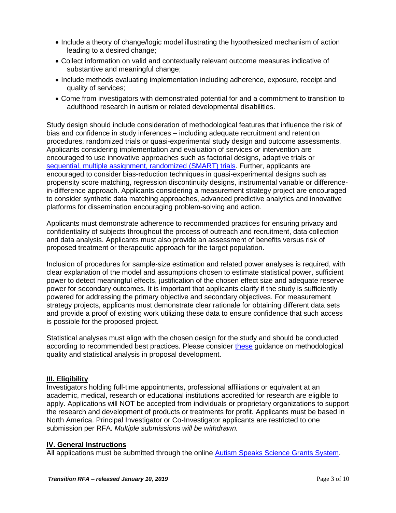- Include a theory of change/logic model illustrating the hypothesized mechanism of action leading to a desired change;
- Collect information on valid and contextually relevant outcome measures indicative of substantive and meaningful change;
- Include methods evaluating implementation including adherence, exposure, receipt and quality of services;
- Come from investigators with demonstrated potential for and a commitment to transition to adulthood research in autism or related developmental disabilities.

Study design should include consideration of methodological features that influence the risk of bias and confidence in study inferences – including adequate recruitment and retention procedures, randomized trials or quasi-experimental study design and outcome assessments. Applicants considering implementation and evaluation of services or intervention are encouraged to use innovative approaches such as factorial designs, adaptive trials or [sequential, multiple assignment, randomized \(SMART\) trials.](https://methodology.psu.edu/ra/adap-inter) Further, applicants are encouraged to consider bias-reduction techniques in quasi-experimental designs such as propensity score matching, regression discontinuity designs, instrumental variable or differencein-difference approach. Applicants considering a measurement strategy project are encouraged to consider synthetic data matching approaches, advanced predictive analytics and innovative platforms for dissemination encouraging problem-solving and action.

Applicants must demonstrate adherence to recommended practices for ensuring privacy and confidentiality of subjects throughout the process of outreach and recruitment, data collection and data analysis. Applicants must also provide an assessment of benefits versus risk of proposed treatment or therapeutic approach for the target population.

Inclusion of procedures for sample-size estimation and related power analyses is required, with clear explanation of the model and assumptions chosen to estimate statistical power, sufficient power to detect meaningful effects, justification of the chosen effect size and adequate reserve power for secondary outcomes. It is important that applicants clarify if the study is sufficiently powered for addressing the primary objective and secondary objectives. For measurement strategy projects, applicants must demonstrate clear rationale for obtaining different data sets and provide a proof of existing work utilizing these data to ensure confidence that such access is possible for the proposed project.

Statistical analyses must align with the chosen design for the study and should be conducted according to recommended best practices. Please consider [these](https://doi.org/10.1177/001440290507100202) guidance on methodological quality and statistical analysis in proposal development.

# **III. Eligibility**

Investigators holding full-time appointments, professional affiliations or equivalent at an academic, medical, research or educational institutions accredited for research are eligible to apply. Applications will NOT be accepted from individuals or proprietary organizations to support the research and development of products or treatments for profit. Applicants must be based in North America. Principal Investigator or Co-Investigator applicants are restricted to one submission per RFA. *Multiple submissions will be withdrawn.*

#### **IV. General Instructions**

All applications must be submitted through the online [Autism Speaks Science Grants System.](https://science.grants.autismspeaks.org/)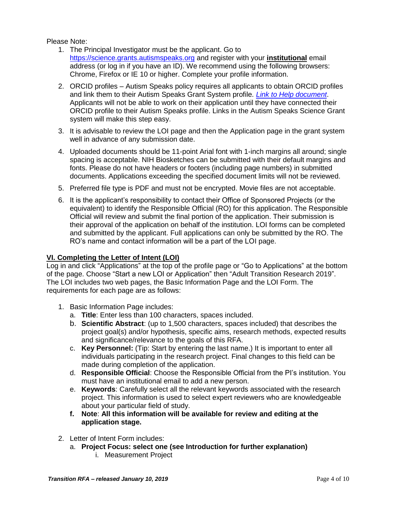### Please Note:

- 1. The Principal Investigator must be the applicant. Go to [https://science.grants.autismspeaks.org](https://science.grants.autismspeaks.org/) and register with your **institutional** email address (or log in if you have an ID). We recommend using the following browsers: Chrome, Firefox or IE 10 or higher. Complete your profile information.
- 2. ORCID profiles Autism Speaks policy requires all applicants to obtain ORCID profiles and link them to their Autism Speaks Grant System profile*. [Link to Help document](https://science.grants.autismspeaks.org/uploads/helpdocs/info-orcid.pdf)*. Applicants will not be able to work on their application until they have connected their ORCID profile to their Autism Speaks profile. Links in the Autism Speaks Science Grant system will make this step easy.
- 3. It is advisable to review the LOI page and then the Application page in the grant system well in advance of any submission date.
- 4. Uploaded documents should be 11-point Arial font with 1-inch margins all around; single spacing is acceptable. NIH Biosketches can be submitted with their default margins and fonts. Please do not have headers or footers (including page numbers) in submitted documents. Applications exceeding the specified document limits will not be reviewed.
- 5. Preferred file type is PDF and must not be encrypted. Movie files are not acceptable.
- 6. It is the applicant's responsibility to contact their Office of Sponsored Projects (or the equivalent) to identify the Responsible Official (RO) for this application. The Responsible Official will review and submit the final portion of the application. Their submission is their approval of the application on behalf of the institution. LOI forms can be completed and submitted by the applicant. Full applications can only be submitted by the RO. The RO's name and contact information will be a part of the LOI page.

### **VI. Completing the Letter of Intent (LOI)**

Log in and click "Applications" at the top of the profile page or "Go to Applications" at the bottom of the page. Choose "Start a new LOI or Application" then "Adult Transition Research 2019". The LOI includes two web pages, the Basic Information Page and the LOI Form. The requirements for each page are as follows:

- 1. Basic Information Page includes:
	- a. **Title**: Enter less than 100 characters, spaces included.
	- b. **Scientific Abstract**: (up to 1,500 characters, spaces included) that describes the project goal(s) and/or hypothesis, specific aims, research methods, expected results and significance/relevance to the goals of this RFA.
	- c. **Key Personnel:** (Tip: Start by entering the last name.) It is important to enter all individuals participating in the research project. Final changes to this field can be made during completion of the application.
	- d. **Responsible Official**: Choose the Responsible Official from the PI's institution. You must have an institutional email to add a new person.
	- e. **Keywords**: Carefully select all the relevant keywords associated with the research project. This information is used to select expert reviewers who are knowledgeable about your particular field of study.
	- **f. Note**: **All this information will be available for review and editing at the application stage.**
- 2. Letter of Intent Form includes:
	- a. **Project Focus: select one (see Introduction for further explanation)** i. Measurement Project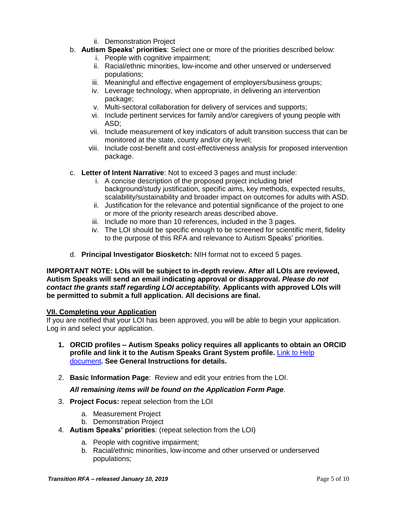- ii. Demonstration Project
- b. **Autism Speaks' priorities**: Select one or more of the priorities described below:
	- i. People with cognitive impairment:
	- ii. Racial/ethnic minorities, low-income and other unserved or underserved populations;
	- iii. Meaningful and effective engagement of employers/business groups;
	- iv. Leverage technology, when appropriate, in delivering an intervention package;
	- v. Multi-sectoral collaboration for delivery of services and supports;
	- vi. Include pertinent services for family and/or caregivers of young people with ASD;
	- vii. Include measurement of key indicators of adult transition success that can be monitored at the state, county and/or city level;
	- viii. Include cost-benefit and cost-effectiveness analysis for proposed intervention package.
- c. **Letter of Intent Narrative**: Not to exceed 3 pages and must include:
	- i. A concise description of the proposed project including brief background/study justification, specific aims, key methods, expected results, scalability/sustainability and broader impact on outcomes for adults with ASD.
	- ii. Justification for the relevance and potential significance of the project to one or more of the priority research areas described above.
	- iii. Include no more than 10 references, included in the 3 pages.
	- iv. The LOI should be specific enough to be screened for scientific merit, fidelity to the purpose of this RFA and relevance to Autism Speaks' priorities.
- d. **Principal Investigator Biosketch:** NIH format not to exceed 5 pages.

**IMPORTANT NOTE: LOIs will be subject to in-depth review. After all LOIs are reviewed, Autism Speaks will send an email indicating approval or disapproval.** *Please do not contact the grants staff regarding LOI acceptability.* **Applicants with approved LOIs will be permitted to submit a full application. All decisions are final.**

# **VII. Completing your Application**

If you are notified that your LOI has been approved, you will be able to begin your application. Log in and select your application.

- **1. ORCID profiles – Autism Speaks policy requires all applicants to obtain an ORCID profile and link it to the Autism Speaks Grant System profile.** [Link to Help](https://science.grants.autismspeaks.org/uploads/helpdocs/info-orcid.pdf)  [document](https://science.grants.autismspeaks.org/uploads/helpdocs/info-orcid.pdf)**. See General Instructions for details.**
- 2. **Basic Information Page**: Review and edit your entries from the LOI.

# *All remaining items will be found on the Application Form Page.*

- 3. **Project Focus:** repeat selection from the LOI
	- a. Measurement Project
	- b. Demonstration Project
- 4. **Autism Speaks' priorities**: (repeat selection from the LOI)
	- a. People with cognitive impairment;
	- b. Racial/ethnic minorities, low-income and other unserved or underserved populations;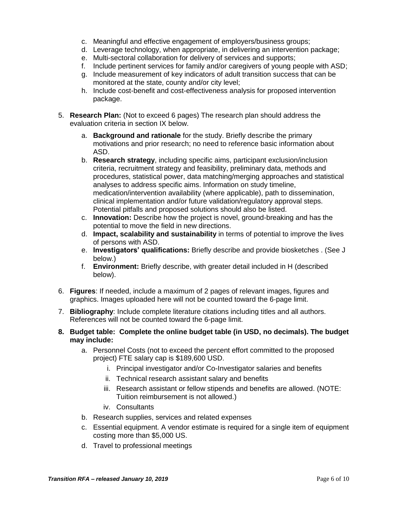- c. Meaningful and effective engagement of employers/business groups;
- d. Leverage technology, when appropriate, in delivering an intervention package;
- e. Multi-sectoral collaboration for delivery of services and supports;
- f. Include pertinent services for family and/or caregivers of young people with ASD;
- g. Include measurement of key indicators of adult transition success that can be monitored at the state, county and/or city level;
- h. Include cost-benefit and cost-effectiveness analysis for proposed intervention package.
- 5. **Research Plan:** (Not to exceed 6 pages) The research plan should address the evaluation criteria in section IX below.
	- a. **Background and rationale** for the study. Briefly describe the primary motivations and prior research; no need to reference basic information about ASD.
	- b. **Research strategy**, including specific aims, participant exclusion/inclusion criteria, recruitment strategy and feasibility, preliminary data, methods and procedures, statistical power, data matching/merging approaches and statistical analyses to address specific aims. Information on study timeline, medication/intervention availability (where applicable), path to dissemination, clinical implementation and/or future validation/regulatory approval steps. Potential pitfalls and proposed solutions should also be listed.
	- c. **Innovation:** Describe how the project is novel, ground-breaking and has the potential to move the field in new directions.
	- d. **Impact, scalability and sustainability** in terms of potential to improve the lives of persons with ASD.
	- e. **Investigators' qualifications:** Briefly describe and provide biosketches . (See J below.)
	- f. **Environment:** Briefly describe, with greater detail included in H (described below).
- 6. **Figures**: If needed, include a maximum of 2 pages of relevant images, figures and graphics. Images uploaded here will not be counted toward the 6-page limit.
- 7. **Bibliography**: Include complete literature citations including titles and all authors. References will not be counted toward the 6-page limit.
- **8. Budget table: Complete the online budget table (in USD, no decimals). The budget may include:** 
	- a. Personnel Costs (not to exceed the percent effort committed to the proposed project) FTE salary cap is \$189,600 USD.
		- i. Principal investigator and/or Co-Investigator salaries and benefits
		- ii. Technical research assistant salary and benefits
		- iii. Research assistant or fellow stipends and benefits are allowed. (NOTE: Tuition reimbursement is not allowed.)
		- iv. Consultants
	- b. Research supplies, services and related expenses
	- c. Essential equipment. A vendor estimate is required for a single item of equipment costing more than \$5,000 US.
	- d. Travel to professional meetings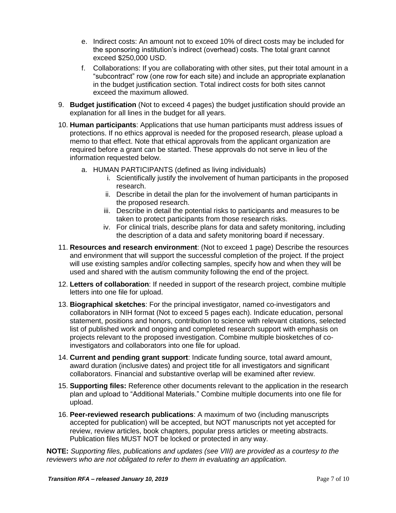- e. Indirect costs: An amount not to exceed 10% of direct costs may be included for the sponsoring institution's indirect (overhead) costs. The total grant cannot exceed \$250,000 USD.
- f. Collaborations: If you are collaborating with other sites, put their total amount in a "subcontract" row (one row for each site) and include an appropriate explanation in the budget justification section. Total indirect costs for both sites cannot exceed the maximum allowed.
- 9. **Budget justification** (Not to exceed 4 pages) the budget justification should provide an explanation for all lines in the budget for all years.
- 10. **Human participants**: Applications that use human participants must address issues of protections. If no ethics approval is needed for the proposed research, please upload a memo to that effect. Note that ethical approvals from the applicant organization are required before a grant can be started. These approvals do not serve in lieu of the information requested below.
	- a. HUMAN PARTICIPANTS (defined as living individuals)
		- i. Scientifically justify the involvement of human participants in the proposed research.
		- ii. Describe in detail the plan for the involvement of human participants in the proposed research.
		- iii. Describe in detail the potential risks to participants and measures to be taken to protect participants from those research risks.
		- iv. For clinical trials, describe plans for data and safety monitoring, including the description of a data and safety monitoring board if necessary.
- 11. **Resources and research environment**: (Not to exceed 1 page) Describe the resources and environment that will support the successful completion of the project. If the project will use existing samples and/or collecting samples, specify how and when they will be used and shared with the autism community following the end of the project.
- 12. **Letters of collaboration**: If needed in support of the research project, combine multiple letters into one file for upload.
- 13. **Biographical sketches**: For the principal investigator, named co-investigators and collaborators in NIH format (Not to exceed 5 pages each). Indicate education, personal statement, positions and honors, contribution to science with relevant citations, selected list of published work and ongoing and completed research support with emphasis on projects relevant to the proposed investigation. Combine multiple biosketches of coinvestigators and collaborators into one file for upload.
- 14. **Current and pending grant support**: Indicate funding source, total award amount, award duration (inclusive dates) and project title for all investigators and significant collaborators. Financial and substantive overlap will be examined after review.
- 15. **Supporting files:** Reference other documents relevant to the application in the research plan and upload to "Additional Materials." Combine multiple documents into one file for upload.
- 16. **Peer-reviewed research publications**: A maximum of two (including manuscripts accepted for publication) will be accepted, but NOT manuscripts not yet accepted for review, review articles, book chapters, popular press articles or meeting abstracts. Publication files MUST NOT be locked or protected in any way.

**NOTE:** *Supporting files, publications and updates (see VIII) are provided as a courtesy to the reviewers who are not obligated to refer to them in evaluating an application.*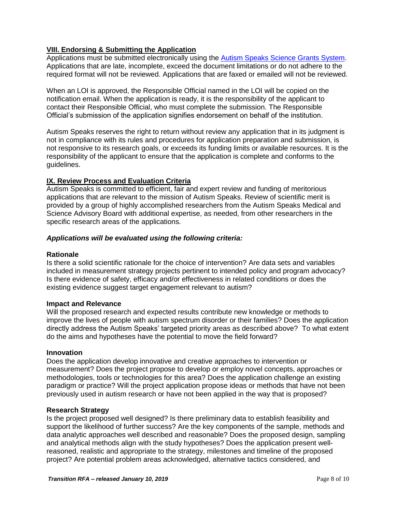# **VIII. Endorsing & Submitting the Application**

Applications must be submitted electronically using the [Autism Speaks Science Grants](https://science.grants.autismspeaks.org/) System. Applications that are late, incomplete, exceed the document limitations or do not adhere to the required format will not be reviewed. Applications that are faxed or emailed will not be reviewed.

When an LOI is approved, the Responsible Official named in the LOI will be copied on the notification email. When the application is ready, it is the responsibility of the applicant to contact their Responsible Official, who must complete the submission. The Responsible Official's submission of the application signifies endorsement on behalf of the institution.

Autism Speaks reserves the right to return without review any application that in its judgment is not in compliance with its rules and procedures for application preparation and submission, is not responsive to its research goals, or exceeds its funding limits or available resources. It is the responsibility of the applicant to ensure that the application is complete and conforms to the guidelines.

### **IX. Review Process and Evaluation Criteria**

Autism Speaks is committed to efficient, fair and expert review and funding of meritorious applications that are relevant to the mission of Autism Speaks. Review of scientific merit is provided by a group of highly accomplished researchers from the Autism Speaks Medical and Science Advisory Board with additional expertise, as needed, from other researchers in the specific research areas of the applications.

### *Applications will be evaluated using the following criteria:*

### **Rationale**

Is there a solid scientific rationale for the choice of intervention? Are data sets and variables included in measurement strategy projects pertinent to intended policy and program advocacy? Is there evidence of safety, efficacy and/or effectiveness in related conditions or does the existing evidence suggest target engagement relevant to autism?

#### **Impact and Relevance**

Will the proposed research and expected results contribute new knowledge or methods to improve the lives of people with autism spectrum disorder or their families? Does the application directly address the Autism Speaks' targeted priority areas as described above? To what extent do the aims and hypotheses have the potential to move the field forward?

#### **Innovation**

Does the application develop innovative and creative approaches to intervention or measurement? Does the project propose to develop or employ novel concepts, approaches or methodologies, tools or technologies for this area? Does the application challenge an existing paradigm or practice? Will the project application propose ideas or methods that have not been previously used in autism research or have not been applied in the way that is proposed?

#### **Research Strategy**

Is the project proposed well designed? Is there preliminary data to establish feasibility and support the likelihood of further success? Are the key components of the sample, methods and data analytic approaches well described and reasonable? Does the proposed design, sampling and analytical methods align with the study hypotheses? Does the application present wellreasoned, realistic and appropriate to the strategy, milestones and timeline of the proposed project? Are potential problem areas acknowledged, alternative tactics considered, and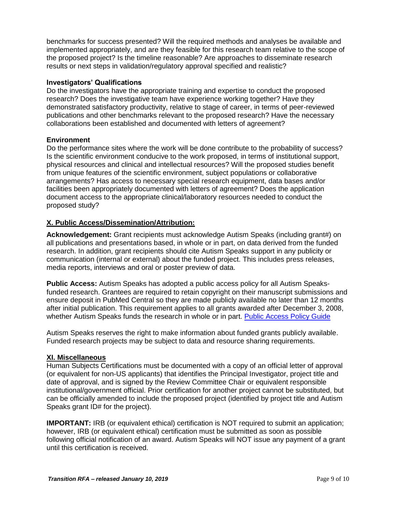benchmarks for success presented? Will the required methods and analyses be available and implemented appropriately, and are they feasible for this research team relative to the scope of the proposed project? Is the timeline reasonable? Are approaches to disseminate research results or next steps in validation/regulatory approval specified and realistic?

### **Investigators' Qualifications**

Do the investigators have the appropriate training and expertise to conduct the proposed research? Does the investigative team have experience working together? Have they demonstrated satisfactory productivity, relative to stage of career, in terms of peer-reviewed publications and other benchmarks relevant to the proposed research? Have the necessary collaborations been established and documented with letters of agreement?

### **Environment**

Do the performance sites where the work will be done contribute to the probability of success? Is the scientific environment conducive to the work proposed, in terms of institutional support, physical resources and clinical and intellectual resources? Will the proposed studies benefit from unique features of the scientific environment, subject populations or collaborative arrangements? Has access to necessary special research equipment, data bases and/or facilities been appropriately documented with letters of agreement? Does the application document access to the appropriate clinical/laboratory resources needed to conduct the proposed study?

# **X. Public Access/Dissemination/Attribution:**

**Acknowledgement:** Grant recipients must acknowledge Autism Speaks (including grant#) on all publications and presentations based, in whole or in part, on data derived from the funded research. In addition, grant recipients should cite Autism Speaks support in any publicity or communication (internal or external) about the funded project. This includes press releases, media reports, interviews and oral or poster preview of data.

**Public Access:** Autism Speaks has adopted a public access policy for all Autism Speaksfunded research. Grantees are required to retain copyright on their manuscript submissions and ensure deposit in PubMed Central so they are made publicly available no later than 12 months after initial publication. This requirement applies to all grants awarded after December 3, 2008, whether Autism Speaks funds the research in whole or in part. [Public Access Policy Guide](https://science.grants.autismspeaks.org/uploads/helpdocs/autism_speaks_public_access_compliance_guide.pdf)

Autism Speaks reserves the right to make information about funded grants publicly available. Funded research projects may be subject to data and resource sharing requirements.

#### **XI. Miscellaneous**

Human Subjects Certifications must be documented with a copy of an official letter of approval (or equivalent for non-US applicants) that identifies the Principal Investigator, project title and date of approval, and is signed by the Review Committee Chair or equivalent responsible institutional/government official. Prior certification for another project cannot be substituted, but can be officially amended to include the proposed project (identified by project title and Autism Speaks grant ID# for the project).

**IMPORTANT:** IRB (or equivalent ethical) certification is NOT required to submit an application; however, IRB (or equivalent ethical) certification must be submitted as soon as possible following official notification of an award. Autism Speaks will NOT issue any payment of a grant until this certification is received.